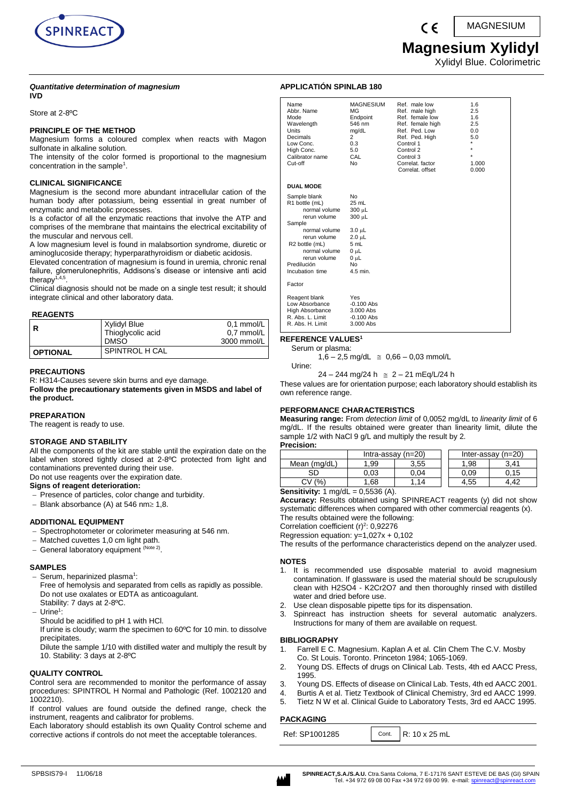

#### *Quantitative determination of magnesium* **IVD**

Store at 2-8ºC

## **PRINCIPLE OF THE METHOD**

Magnesium forms a coloured complex when reacts with Magon sulfonate in alkaline solution.

The intensity of the color formed is proportional to the magnesium concentration in the sample<sup>1</sup>.

## **CLINICAL SIGNIFICANCE**

Magnesium is the second more abundant intracellular cation of the human body after potassium, being essential in great number of enzymatic and metabolic processes.

Is a cofactor of all the enzymatic reactions that involve the ATP and comprises of the membrane that maintains the electrical excitability of the muscular and nervous cell.

A low magnesium level is found in malabsortion syndrome, diuretic or aminoglucoside therapy; hyperparathyroidism or diabetic acidosis.

Elevated concentration of magnesium is found in uremia, chronic renal failure, glomerulonephritis, Addisons's disease or intensive anti acid therapy $^{1,4,5}$ .

Clinical diagnosis should not be made on a single test result; it should integrate clinical and other laboratory data.

## **REAGENTS**

| l R             | Xylidyl Blue      | $0.1$ mmol/L         |  |
|-----------------|-------------------|----------------------|--|
|                 | Thioglycolic acid | $0.7$ mmol/L $\vert$ |  |
|                 | <b>DMSO</b>       | 3000 mmol/L          |  |
| <b>OPTIONAL</b> | SPINTROL H CAL    |                      |  |

## **PRECAUTIONS**

R: H314-Causes severe skin burns and eye damage. **Follow the precautionary statements given in MSDS and label of the product.** 

## **PREPARATION**

The reagent is ready to use.

## **STORAGE AND STABILITY**

All the components of the kit are stable until the expiration date on the label when stored tightly closed at 2-8ºC protected from light and contaminations prevented during their use. Do not use reagents over the expiration date.

## **Signs of reagent deterioration:**

- Presence of particles, color change and turbidity.
- Blank absorbance (A) at 546 nm $\geq 1,8$ .

## **ADDITIONAL EQUIPMENT**

- Spectrophotometer or colorimeter measuring at 546 nm.
- Matched cuvettes 1,0 cm light path.
- General laboratory equipment <sup>(Note 2)</sup>.

## **SAMPLES**

- Serum, heparinized plasma<sup>1</sup>:
- Free of hemolysis and separated from cells as rapidly as possible. Do not use oxalates or EDTA as anticoagulant.
- Stability: 7 days at 2-8ºC.
- Urine<sup>1</sup>: Should be acidified to pH 1 with HCl.

If urine is cloudy; warm the specimen to 60ºC for 10 min. to dissolve precipitates.

Dilute the sample 1/10 with distilled water and multiply the result by 10. Stability: 3 days at 2-8ºC

## **QUALITY CONTROL**

Control sera are recommended to monitor the performance of assay procedures: SPINTROL H Normal and Pathologic (Ref. 1002120 and 1002210).

If control values are found outside the defined range, check the instrument, reagents and calibrator for problems.

Each laboratory should establish its own Quality Control scheme and corrective actions if controls do not meet the acceptable tolerances.

## **APPLICATIÓN SPINLAB 180**

| Name<br>Abbr. Name<br>Mode<br>Wavelength<br>Units<br>Decimals<br>Low Conc.<br>High Conc.<br>Calibrator name<br>Cut-off                                                                          | <b>MAGNESIUM</b><br><b>MG</b><br>Endpoint<br>546 nm<br>mg/dL<br>2<br>0.3<br>5.0<br>CAL<br>N <sub>0</sub>                     | Ref. male low<br>Ref. male high<br>Ref. female low<br>Ref. female high<br>Ref. Ped. Low<br>Ref. Ped. High<br>Control 1<br>Control 2<br>Control 3<br>Correlat, factor<br>Correlat, offset | 1.6<br>2.5<br>1.6<br>2.5<br>0.0<br>5.0<br>$\star$<br>$\star$<br>$\star$<br>1.000<br>0.000 |
|-------------------------------------------------------------------------------------------------------------------------------------------------------------------------------------------------|------------------------------------------------------------------------------------------------------------------------------|------------------------------------------------------------------------------------------------------------------------------------------------------------------------------------------|-------------------------------------------------------------------------------------------|
| <b>DUAL MODE</b>                                                                                                                                                                                |                                                                                                                              |                                                                                                                                                                                          |                                                                                           |
| Sample blank<br>R1 bottle (mL)<br>normal volume<br>rerun volume<br>Sample<br>normal volume<br>rerun volume<br>R2 bottle (mL)<br>normal volume<br>rerun volume<br>Predilución<br>Incubation time | N <sub>0</sub><br>25 mL<br>300 µL<br>300 µL<br>3.0 µL<br>$2.0 \mu L$<br>5 mL<br>0 սԼ<br>0 µL<br>N <sub>0</sub><br>$4.5$ min. |                                                                                                                                                                                          |                                                                                           |
| Factor                                                                                                                                                                                          |                                                                                                                              |                                                                                                                                                                                          |                                                                                           |
| Reagent blank<br>Low Absorbance<br>High Absorbance<br>R. Abs. L. Limit<br>R. Abs. H. Limit                                                                                                      | Yes<br>$-0.100$ Abs<br>3.000 Abs<br>$-0.100$ Abs<br>3.000 Abs                                                                |                                                                                                                                                                                          |                                                                                           |

#### **REFERENCE VALUES<sup>1</sup>** Serum or plasma:

 $1,6 - 2,5$  mg/dL  $\geq 0,66 - 0,03$  mmol/L

Urine:

24 – 244 mg/24 h ≅ 2 – 21 mEq/L/24 h

These values are for orientation purpose; each laboratory should establish its own reference range.

## **PERFORMANCE CHARACTERISTICS**

**Measuring range:** From *detection limit* of 0,0052 mg/dL to *linearity limit* of 6 mg/dL. If the results obtained were greater than linearity limit, dilute the sample 1/2 with NaCl 9 g/L and multiply the result by 2. **Precision:**

 $\begin{array}{|c|c|c|c|c|}\n \hline\n Intra-assay (n=20) & Inter-assay (n=20) \\
 \hline\n 1,99 & 3,55 & 1,98 & 3,41\n \end{array}$ Mean (mg/dL)<br>SD SD 0,03 0,04 0,09 0,15  $CV(%)$  1,68 1,14 4,55 4,42

**Sensitivity:** 1 mg/dL = 0,5536 (A).

**Accuracy:** Results obtained using SPINREACT reagents (y) did not show systematic differences when compared with other commercial reagents (x). The results obtained were the following:

Correlation coefficient  $(r)^2$ : 0,92276

Regression equation: y=1,027x + 0,102

The results of the performance characteristics depend on the analyzer used.

## **NOTES**

- 1. It is recommended use disposable material to avoid magnesium contamination. If glassware is used the material should be scrupulously clean with H2SO4 - K2Cr2O7 and then thoroughly rinsed with distilled water and dried before use.
- 2. Use clean disposable pipette tips for its dispensation.
- Spinreact has instruction sheets for several automatic analyzers. Instructions for many of them are available on request.

## **BIBLIOGRAPHY**

- 1. Farrell E C. Magnesium. Kaplan A et al. Clin Chem The C.V. Mosby Co. St Louis. Toronto. Princeton 1984; 1065-1069.
- 2. Young DS. Effects of drugs on Clinical Lab. Tests, 4th ed AACC Press, 1995.
- 
- 3. Young DS. Effects of disease on Clinical Lab. Tests, 4th ed AACC 2001.<br>4. Burtis A et al. Tietz Textbook of Clinical Chemistry, 3rd ed AACC 1999. Burtis A et al. Tietz Textbook of Clinical Chemistry, 3rd ed AACC 1999.
- 5. Tietz N W et al. Clinical Guide to Laboratory Tests, 3rd ed AACC 1995.

## **PACKAGING**

| Ref: SP1001285 |  | Cont. $\vert$ R: 10 x 25 mL |
|----------------|--|-----------------------------|
|----------------|--|-----------------------------|



# **Magnesium Xylidyl**

( F

Xylidyl Blue. Colorimetric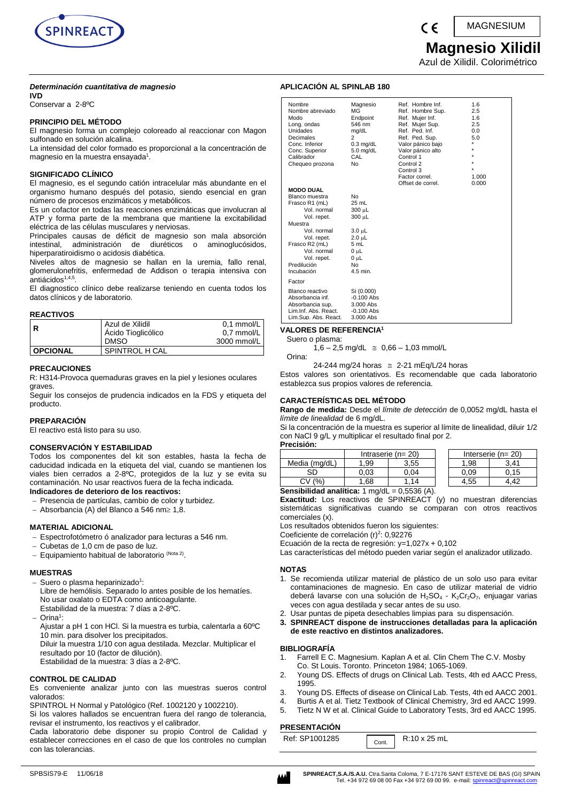

## *Determinación cuantitativa de magnesio*

**IVD**

Conservar a 2-8ºC

## **PRINCIPIO DEL MÉTODO**

El magnesio forma un complejo coloreado al reaccionar con Magon sulfonado en solución alcalina.

La intensidad del color formado es proporcional a la concentración de magnesio en la muestra ensayada $^{\text{\tiny{\text{1}}}}$ .

## **SIGNIFICADO CLÍNICO**

El magnesio, es el segundo catión intracelular más abundante en el organismo humano después del potasio, siendo esencial en gran número de procesos enzimáticos y metabólicos.

Es un cofactor en todas las reacciones enzimáticas que involucran al ATP y forma parte de la membrana que mantiene la excitabilidad eléctrica de las células musculares y nerviosas.

Principales causas de déficit de magnesio son mala absorción intestinal, administración de diuréticos o aminoglucósidos, hiperparatiroidismo o acidosis diabética.

Niveles altos de magnesio se hallan en la uremia, fallo renal, glomerulonefritis, enfermedad de Addison o terapia intensiva con antiácido $s^{1,4,5}$ .

El diagnostico clínico debe realizarse teniendo en cuenta todos los datos clínicos y de laboratorio.

#### **REACTIVOS**

| ' R             | Azul de Xilidil    | $0.1$ mmol/L |
|-----------------|--------------------|--------------|
|                 | Ácido Tioglicólico | $0.7$ mmol/L |
|                 | <b>DMSO</b>        | 3000 mmol/L  |
| <b>OPCIONAL</b> | SPINTROL H CAL     |              |

#### **PRECAUCIONES**

R: H314-Provoca quemaduras graves en la piel y lesiones oculares graves.

Seguir los consejos de prudencia indicados en la FDS y etiqueta del producto.

#### **PREPARACIÓN**

El reactivo está listo para su uso.

#### **CONSERVACIÓN Y ESTABILIDAD**

Todos los componentes del kit son estables, hasta la fecha de caducidad indicada en la etiqueta del vial, cuando se mantienen los viales bien cerrados a 2-8ºC, protegidos de la luz y se evita su contaminación. No usar reactivos fuera de la fecha indicada.

## **Indicadores de deterioro de los reactivos:**

- Presencia de partículas, cambio de color y turbidez.
- $-$  Absorbancia (A) del Blanco a 546 nm $\geq 1,8$ .

## **MATERIAL ADICIONAL**

- Espectrofotómetro ó analizador para lecturas a 546 nm.
- $-$  Cubetas de 1,0 cm de paso de luz.
- Equipamiento habitual de laboratorio <sup>(Nota 2)</sup>.

#### **MUESTRAS**

- Suero o plasma heparinizado<sup>1</sup>:
- Libre de hemólisis. Separado lo antes posible de los hematíes. No usar oxalato o EDTA como anticoagulante. Estabilidad de la muestra: 7 días a 2-8ºC.
- Orina<sup>1</sup>:
- Ajustar a pH 1 con HCl. Si la muestra es turbia, calentarla a 60ºC 10 min. para disolver los precipitados.
- Diluir la muestra 1/10 con agua destilada. Mezclar. Multiplicar el resultado por 10 (factor de dilución).
- Estabilidad de la muestra: 3 días a 2-8ºC.

#### **CONTROL DE CALIDAD**

Es conveniente analizar junto con las muestras sueros control valorados:

SPINTROL H Normal y Patológico (Ref. 1002120 y 1002210).

Si los valores hallados se encuentran fuera del rango de tolerancia, revisar el instrumento, los reactivos y el calibrador.

Cada laboratorio debe disponer su propio Control de Calidad y establecer correcciones en el caso de que los controles no cumplan con las tolerancias.

### **APLICACIÓN AL SPINLAB 180**

| Nombre<br>Nombre abreviado<br>Modo<br>Long. ondas<br>Unidades<br>Decimales<br>Conc. Inferior<br>Conc. Superior<br>Calibrador<br>Chequeo prozona | Magnesio<br>MG<br>Endpoint<br>546 nm<br>mg/dL<br>$\overline{c}$<br>$0.3$ mg/dL<br>$5.0$ mg/dL<br>CAL<br>No | Ref. Hombre Inf.<br>Ref. Hombre Sup.<br>Ref. Mujer Inf.<br>Ref. Mujer Sup.<br>Ref. Ped. Inf.<br>Ref. Ped. Sup.<br>Valor pánico bajo<br>Valor pánico alto<br>Control 1<br>Control 2<br>Control 3<br>Factor correl.<br>Offset de correl. | 1.6<br>2.5<br>1.6<br>2.5<br>0.0<br>5.0<br>$\star$<br>$\star$<br>÷<br>$\star$<br>$\star$<br>1.000<br>0.000 |
|-------------------------------------------------------------------------------------------------------------------------------------------------|------------------------------------------------------------------------------------------------------------|----------------------------------------------------------------------------------------------------------------------------------------------------------------------------------------------------------------------------------------|-----------------------------------------------------------------------------------------------------------|
| <b>MODO DUAL</b>                                                                                                                                |                                                                                                            |                                                                                                                                                                                                                                        |                                                                                                           |
| Blanco muestra                                                                                                                                  | No                                                                                                         |                                                                                                                                                                                                                                        |                                                                                                           |
| Frasco R1 (mL)                                                                                                                                  | $25$ mL                                                                                                    |                                                                                                                                                                                                                                        |                                                                                                           |
| Vol. normal                                                                                                                                     | 300 µL                                                                                                     |                                                                                                                                                                                                                                        |                                                                                                           |
| Vol. repet.                                                                                                                                     | 300 µL                                                                                                     |                                                                                                                                                                                                                                        |                                                                                                           |
| Muestra                                                                                                                                         |                                                                                                            |                                                                                                                                                                                                                                        |                                                                                                           |
| Vol. normal                                                                                                                                     | 3.0 µL                                                                                                     |                                                                                                                                                                                                                                        |                                                                                                           |
| Vol. repet.                                                                                                                                     | $2.0 \mu L$                                                                                                |                                                                                                                                                                                                                                        |                                                                                                           |
| Frasco R2 (mL)                                                                                                                                  | 5 mL                                                                                                       |                                                                                                                                                                                                                                        |                                                                                                           |
| Vol. normal                                                                                                                                     | 0 µL                                                                                                       |                                                                                                                                                                                                                                        |                                                                                                           |
| Vol. repet.                                                                                                                                     | 0 uL                                                                                                       |                                                                                                                                                                                                                                        |                                                                                                           |
| Predilución                                                                                                                                     | No                                                                                                         |                                                                                                                                                                                                                                        |                                                                                                           |
| Incubación                                                                                                                                      | 4.5 min.                                                                                                   |                                                                                                                                                                                                                                        |                                                                                                           |
| Factor                                                                                                                                          |                                                                                                            |                                                                                                                                                                                                                                        |                                                                                                           |
| Blanco reactivo<br>Absorbancia inf.<br>Absorbancia sup.<br>Lim.Inf. Abs. React.<br>Lim.Sup. Abs. React.                                         | Si (0.000)<br>$-0.100$ Abs<br>3.000 Abs<br>$-0.100$ Abs<br>3.000 Abs                                       |                                                                                                                                                                                                                                        |                                                                                                           |

## **VALORES DE REFERENCIA<sup>1</sup>**

Suero o plasma:

 $1,6 - 2,5$  mg/dL  $\approx 0,66 - 1,03$  mmol/L Orina:

 $24$ -244 mg/24 horas  $\approx$  2-21 mEq/L/24 horas

Estos valores son orientativos. Es recomendable que cada laboratorio establezca sus propios valores de referencia.

### **CARACTERÍSTICAS DEL MÉTODO**

**Rango de medida:** Desde el *límite de detección* de 0,0052 mg/dL hasta el *límite de linealidad* de 6 mg/dL.

Si la concentración de la muestra es superior al límite de linealidad, diluir 1/2 con NaCl 9 g/L y multiplicar el resultado final por 2.

**Precisión:**

|               | Intraserie $(n=20)$  |           |     | Interserie ( $n = 20$ ) |
|---------------|----------------------|-----------|-----|-------------------------|
| Media (mg/dL) | .99                  | 3.55      | .98 |                         |
| SD            | 0.03                 | .04       | .09 | 15                      |
| Cν            | .68                  | 14        | .55 |                         |
| .             | $\cdots$<br>$\cdots$ | $\bullet$ |     |                         |

#### **Sensibilidad analítica:** 1 mg/dL = 0,5536 (A). **Exactitud:** Los reactivos de SPINREACT (y) no muestran diferencias

sistemáticas significativas cuando se comparan con otros reactivos comerciales (x).

Los resultados obtenidos fueron los siguientes:

Coeficiente de correlación (r)<sup>2</sup>: 0,92276

Ecuación de la recta de regresión: y=1,027x + 0,102

Las características del método pueden variar según el analizador utilizado.

#### **NOTAS**

- 1. Se recomienda utilizar material de plástico de un solo uso para evitar contaminaciones de magnesio. En caso de utilizar material de vidrio deberá lavarse con una solución de  $H_2SO_4$  -  $K_2Cr_2O_7$ , enjuagar varias veces con agua destilada y secar antes de su uso.
- 2. Usar puntas de pipeta desechables limpias para su dispensación.
- **3. SPINREACT dispone de instrucciones detalladas para la aplicación de este reactivo en distintos analizadores.**

#### **BIBLIOGRAFÍA**

- 1. Farrell E C. Magnesium. Kaplan A et al. Clin Chem The C.V. Mosby Co. St Louis. Toronto. Princeton 1984; 1065-1069.
- 2. Young DS. Effects of drugs on Clinical Lab. Tests, 4th ed AACC Press, 1995.
- 3. Young DS. Effects of disease on Clinical Lab. Tests, 4th ed AACC 2001.
- 4. Burtis A et al. Tietz Textbook of Clinical Chemistry, 3rd ed AACC 1999.
- 5. Tietz N W et al. Clinical Guide to Laboratory Tests, 3rd ed AACC 1995.
- 

## **PRESENTACIÓN**

| Ref: SP1001285 |  | $\sqrt{\frac{1}{\text{Cont.}}}$ R:10 x 25 mL |
|----------------|--|----------------------------------------------|
|----------------|--|----------------------------------------------|



| <b>MAGNESIUM</b> |  |
|------------------|--|
|                  |  |

## **Magnesio Xilidil**

Azul de Xilidil. Colorimétrico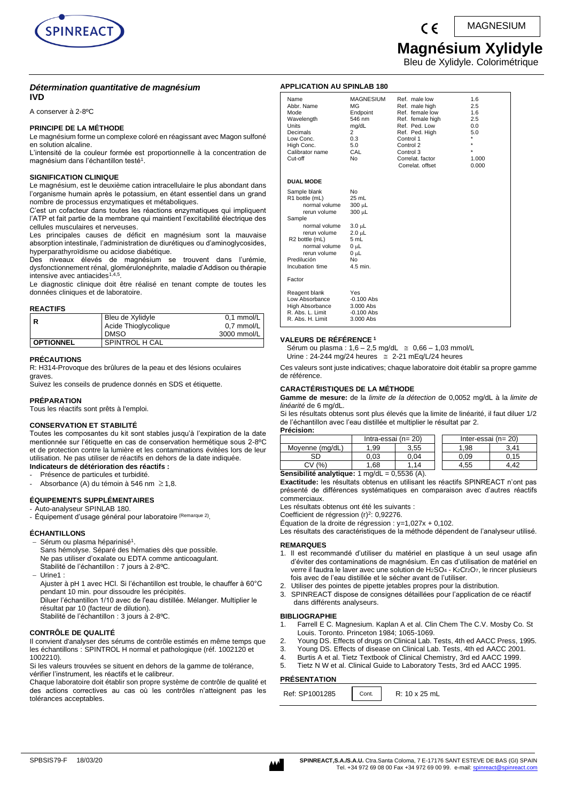

## MAGNESIUM

# **Magnésium Xylidyle**

Bleu de Xylidyle. Colorimétrique

 $\epsilon$ 

## *Détermination quantitative de magnésium*  **IVD**

A conserver à 2-8ºC

## **PRINCIPE DE LA MÉTHODE**

Le magnésium forme un complexe coloré en réagissant avec Magon sulfoné en solution alcaline.

L'intensité de la couleur formée est proportionnelle à la concentration de magnésium dans l'échantillon testé<sup>1</sup>.

## **SIGNIFICATION CLINIQUE**

Le magnésium, est le deuxième cation intracellulaire le plus abondant dans l'organisme humain après le potassium, en étant essentiel dans un grand nombre de processus enzymatiques et métaboliques.

C'est un cofacteur dans toutes les réactions enzymatiques qui impliquent l'ATP et fait partie de la membrane qui maintient l'excitabilité électrique des cellules musculaires et nerveuses.

Les principales causes de déficit en magnésium sont la mauvaise absorption intestinale, l'administration de diurétiques ou d'aminoglycosides, hyperparathyroïdisme ou acidose diabétique.

Des niveaux élevés de magnésium se trouvent dans l'urémie, dysfonctionnement rénal, glomérulonéphrite, maladie d'Addison ou thérapie<br>intensive avec antiacides<sup>1,4,5</sup>.

Le diagnostic clinique doit être réalisé en tenant compte de toutes les données cliniques et de laboratoire.

#### **REACTIFS**

| R                | Bleu de Xylidyle<br>Acide Thioglycolique | $0.1$ mmol/L<br>0,7 mmol/L |
|------------------|------------------------------------------|----------------------------|
|                  | <b>DMSO</b>                              | 3000 mmol/L                |
| <b>OPTIONNEL</b> | SPINTROL H CAL                           |                            |

#### **PRÉCAUTIONS**

R: H314-Provoque des brûlures de la peau et des lésions oculaires graves.

Suivez les conseils de prudence donnés en SDS et étiquette.

#### **PRÉPARATION**

Tous les réactifs sont prêts à l'emploi.

#### **CONSERVATION ET STABILITÉ**

Toutes les composantes du kit sont stables jusqu'à l'expiration de la date mentionnée sur l'étiquette en cas de conservation hermétique sous 2-8°C et de protection contre la lumière et les contaminations évitées lors de leur utilisation. Ne pas utiliser de réactifs en dehors de la date indiquée. **Indicateurs de détérioration des réactifs :**

- Présence de particules et turbidité.
- Absorbance (A) du témoin à 546 nm  $\geq 1,8$ .

## **ÉQUIPEMENTS SUPPLÉMENTAIRES**

Auto-analyseur SPINLAB 180

- Équipement d'usage général pour laboratoire <sup>(Remarque 2)</sup>.

#### **ÉCHANTILLONS**

- − Sérum ou plasma héparinisé<sup>1</sup>.
- Sans hémolyse. Séparé des hématies dès que possible. Ne pas utiliser d'oxalate ou EDTA comme anticoagulant.
- Stabilité de l'échantillon : 7 jours à 2-8ºC.
- Urine1 :

Ajuster à pH 1 avec HCl. Si l'échantillon est trouble, le chauffer à 60°C pendant 10 min. pour dissoudre les précipités.

Diluer l'échantillon 1/10 avec de l'eau distillée. Mélanger. Multiplier le résultat par 10 (facteur de dilution).

Stabilité de l'échantillon : 3 jours à 2-8ºC.

#### **CONTRÔLE DE QUALITÉ**

Il convient d'analyser des sérums de contrôle estimés en même temps que les échantillons : SPINTROL H normal et pathologique (réf. 1002120 et 1002210).

Si les valeurs trouvées se situent en dehors de la gamme de tolérance, vérifier l'instrument, les réactifs et le calibreur.

Chaque laboratoire doit établir son propre système de contrôle de qualité et des actions correctives au cas où les contrôles n'atteignent pas les tolérances acceptables.

#### **APPLICATION AU SPINLAB 180** Name MAGNESIUM Ref. male low 1.6<br>Abbr Name MG Ref. male high 2.5 Abbr. Name MG Ref. male high 2.5<br>1.6 Mode Mode Endpoint Ref. female low 1.6 Mode Endpoint Ref. female low 1.6 wavelength = 3.12.12.12.12.12<br>Wavelength 546 nm Ref. female high 2.5<br>Units = 1.12.12.12 ng/dL Ref. Ped. Low 0.0 Units mg/dL Ref. Ped. Low 0.0 Decimals 2 Ref. Ped. High 5.0 Low Conc.  $\begin{array}{ccc} 0.3 & \text{Central} & \text{Central} \\ \text{High Cone} & 5.0 & \text{Control 1} \end{array}$ High Conc. 5.0 Control 2 \* Calibrator name CAL Control 3 \* Cut-off No Correlat. factor 1.000<br>Correlat. offset 0.000 **Correlat.** offset **DUAL MODE** Sample blank No<br>R1 bottle (mL) 25 mL R1 bottle (mL) 25 mL<br>normal volume 300 µL normal volume rerun volume 300 uL Sample normal volume  $3.0 \mu L$ <br>rerun volume  $2.0 \mu L$ rerun volume  $2.0 \mu$ <br>offle (ml) 5 ml R2 bottle (mL)  $n = \frac{1}{2}$ <br>normal volume  $0 \mu L$ <br>rerun volume  $0 \mu L$ rerun volume Predilución No<br>
Incubation time 4.5 min Incubation time Factor Reagent blank Yes<br>
Low Absorbance -0.100 Abs Low Absorbance -0.100 Abs<br>High Absorbance - 3.000 Abs High Absorbance 3.000 Abs<br>R. Abs. L. Limit -0.100 Abs R. Abs. L. Limit R. Abs. H. Limit 3.000 Abs

#### **VALEURS DE RÉFÉRENCE <sup>1</sup>**

Sérum ou plasma :  $1,6 - 2,5$  mg/dL  $\approx 0,66 - 1,03$  mmol/L

Urine : 24-244 mg/24 heures  $\approx 2$ -21 mEq/L/24 heures

Ces valeurs sont juste indicatives; chaque laboratoire doit établir sa propre gamme de référence.

#### **CARACTÉRISTIQUES DE LA MÉTHODE**

**Gamme de mesure:** de la *limite de la détection* de 0,0052 mg/dL à la *limite de linéarité* de 6 mg/dL.

Si les résultats obtenus sont plus élevés que la limite de linéarité, il faut diluer 1/2 de l'échantillon avec l'eau distillée et multiplier le résultat par 2.

**Précision:**

| - - - - - - - - - - - - - |                          |      |                          |      |                            |
|---------------------------|--------------------------|------|--------------------------|------|----------------------------|
|                           | Intra-essai ( $n = 20$ ) |      | Inter-essai ( $n = 20$ ) |      |                            |
| Moyenne (mg/dL)           | ∣.99                     | 3.55 |                          | .98  | 3.41                       |
| SD                        | 0.03                     | ).04 |                          | 0.09 | 15                         |
| (%<br>C٧                  | .68                      | 14   |                          | 4.55 | $\mathbf{A}^{\mathcal{C}}$ |
| ------<br>.<br>__         |                          |      |                          |      |                            |

**Sensibilité analytique:** 1 mg/dL = 0,5536 (A).

**Exactitude:** les résultats obtenus en utilisant les réactifs SPINREACT n'ont pas présenté de différences systématiques en comparaison avec d'autres réactifs commerciaux.

Les résultats obtenus ont été les suivants :

Coefficient de régression (r)<sup>2</sup>: 0,92276.

Équation de la droite de régression :  $y=1,027x + 0,102$ .

Les résultats des caractéristiques de la méthode dépendent de l'analyseur utilisé.

## **REMARQUES**

- 1. Il est recommandé d'utiliser du matériel en plastique à un seul usage afin d'éviter des contaminations de magnésium. En cas d'utilisation de matériel en verre il faudra le laver avec une solution de  $H_2SO_4$  -  $K_2Cr_2O_7$ , le rincer plusieurs fois avec de l'eau distillée et le sécher avant de l'utiliser.
- 2. Utiliser des pointes de pipette jetables propres pour la distribution.
- 3. SPINREACT dispose de consignes détaillées pour l'application de ce réactif dans différents analyseurs.

#### **BIBLIOGRAPHIE**

- 1. Farrell E C. Magnesium. Kaplan A et al. Clin Chem The C.V. Mosby Co. St Louis. Toronto. Princeton 1984; 1065-1069.
- 2. Young DS. Effects of drugs on Clinical Lab. Tests, 4th ed AACC Press, 1995.
- 3. Young DS. Effects of disease on Clinical Lab. Tests, 4th ed AACC 2001.
- 4. Burtis A et al. Tietz Textbook of Clinical Chemistry, 3rd ed AACC 1999.
- 5. Tietz N W et al. Clinical Guide to Laboratory Tests, 3rd ed AACC 1995.

## **PRÉSENTATION**

| Ref: SP1001285 | Cont. | R: 10 x 25 mL |  |  |
|----------------|-------|---------------|--|--|
|----------------|-------|---------------|--|--|